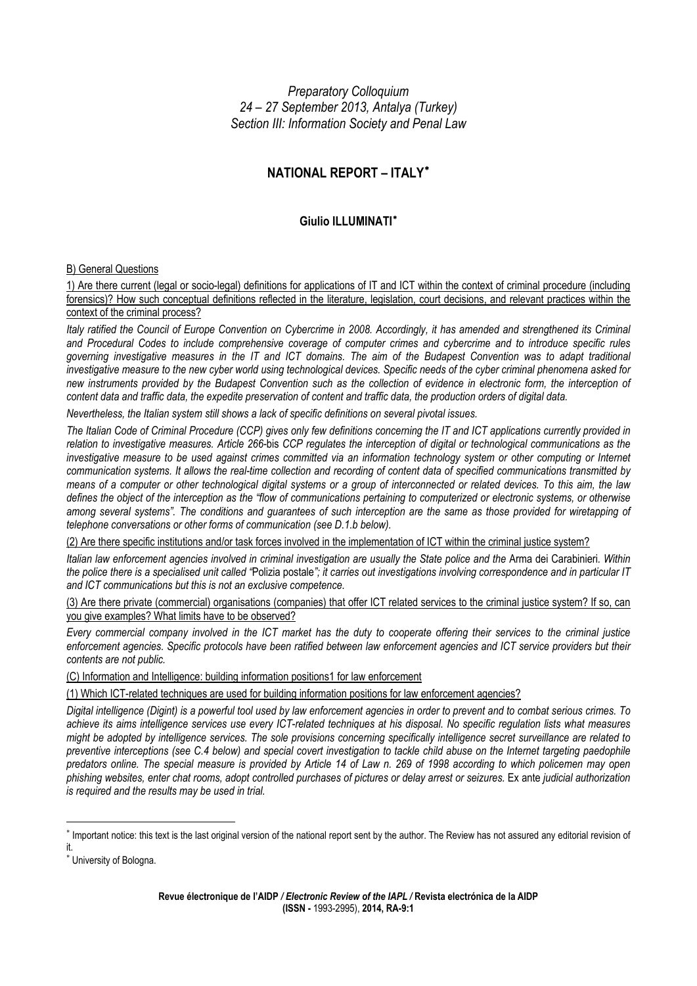*Preparatory Colloquium 24 – 27 September 2013, Antalya (Turkey) Section III: Information Society and Penal Law* 

# **NATIONAL REPORT – ITALY**[∗](#page-0-0)

## **Giulio ILLUMINATI**[∗](#page-0-1)

## B) General Questions

1) Are there current (legal or socio-legal) definitions for applications of IT and ICT within the context of criminal procedure (including forensics)? How such conceptual definitions reflected in the literature, legislation, court decisions, and relevant practices within the context of the criminal process?

*Italy ratified the Council of Europe Convention on Cybercrime in 2008. Accordingly, it has amended and strengthened its Criminal and Procedural Codes to include comprehensive coverage of computer crimes and cybercrime and to introduce specific rules governing investigative measures in the IT and ICT domains. The aim of the Budapest Convention was to adapt traditional investigative measure to the new cyber world using technological devices. Specific needs of the cyber criminal phenomena asked for new instruments provided by the Budapest Convention such as the collection of evidence in electronic form, the interception of content data and traffic data, the expedite preservation of content and traffic data, the production orders of digital data.*

*Nevertheless, the Italian system still shows a lack of specific definitions on several pivotal issues.* 

*The Italian Code of Criminal Procedure (CCP) gives only few definitions concerning the IT and ICT applications currently provided in relation to investigative measures. Article 266-*bis *CCP regulates the interception of digital or technological communications as the*  investigative measure to be used against crimes committed via an information technology system or other computing or Internet *communication systems. It allows the real-time collection and recording of content data of specified communications transmitted by means of a computer or other technological digital systems or a group of interconnected or related devices. To this aim, the law defines the object of the interception as the "flow of communications pertaining to computerized or electronic systems, or otherwise among several systems". The conditions and guarantees of such interception are the same as those provided for wiretapping of telephone conversations or other forms of communication (see D.1.b below).*

(2) Are there specific institutions and/or task forces involved in the implementation of ICT within the criminal justice system?

*Italian law enforcement agencies involved in criminal investigation are usually the State police and the* Arma dei Carabinieri*. Within the police there is a specialised unit called "*Polizia postale*"; it carries out investigations involving correspondence and in particular IT and ICT communications but this is not an exclusive competence.* 

(3) Are there private (commercial) organisations (companies) that offer ICT related services to the criminal justice system? If so, can you give examples? What limits have to be observed?

*Every commercial company involved in the ICT market has the duty to cooperate offering their services to the criminal justice enforcement agencies. Specific protocols have been ratified between law enforcement agencies and ICT service providers but their contents are not public.* 

(C) Information and Intelligence: building information positions1 for law enforcement

(1) Which ICT-related techniques are used for building information positions for law enforcement agencies?

*Digital intelligence (Digint) is a powerful tool used by law enforcement agencies in order to prevent and to combat serious crimes. To achieve its aims intelligence services use every ICT-related techniques at his disposal. No specific regulation lists what measures might be adopted by intelligence services. The sole provisions concerning specifically intelligence secret surveillance are related to preventive interceptions (see C.4 below) and special covert investigation to tackle child abuse on the Internet targeting paedophile predators online. The special measure is provided by Article 14 of Law n. 269 of 1998 according to which policemen may open phishing websites, enter chat rooms, adopt controlled purchases of pictures or delay arrest or seizures.* Ex ante *judicial authorization is required and the results may be used in trial.* 

<span id="page-0-0"></span><sup>∗</sup> Important notice: this text is the last original version of the national report sent by the author. The Review has not assured any editorial revision of it.

<span id="page-0-1"></span><sup>∗</sup> University of Bologna.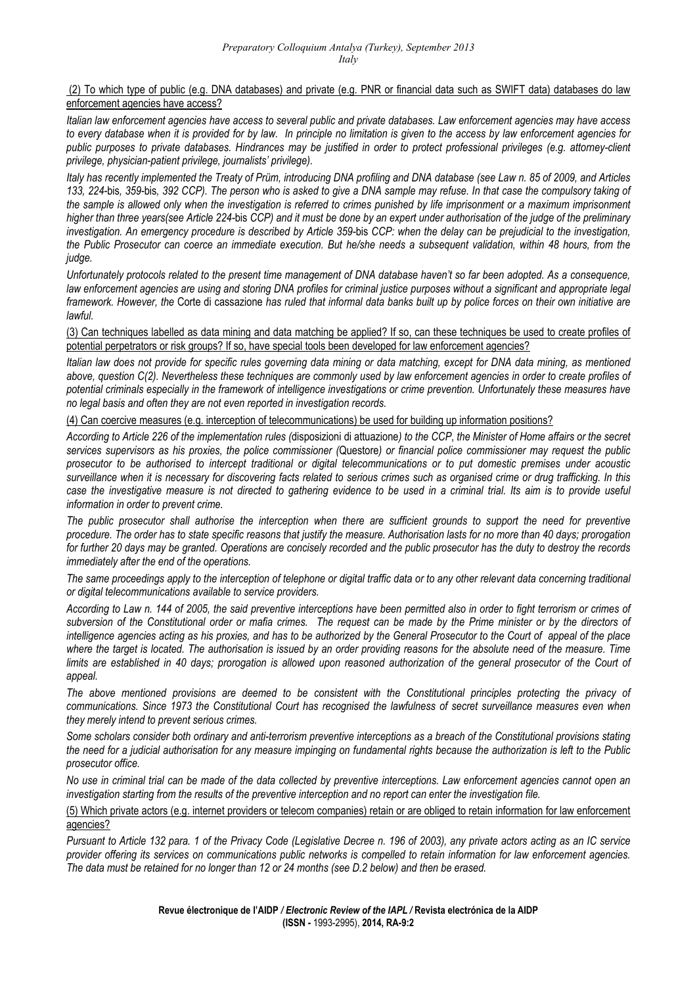## (2) To which type of public (e.g. DNA databases) and private (e.g. PNR or financial data such as SWIFT data) databases do law enforcement agencies have access?

*Italian law enforcement agencies have access to several public and private databases. Law enforcement agencies may have access to every database when it is provided for by law. In principle no limitation is given to the access by law enforcement agencies for public purposes to private databases. Hindrances may be justified in order to protect professional privileges (e.g. attorney-client privilege, physician-patient privilege, journalists' privilege).*

*Italy has recently implemented the Treaty of Prüm, introducing DNA profiling and DNA database (see Law n. 85 of 2009, and Articles 133, 224-*bis*, 359-*bis*, 392 CCP). The person who is asked to give a DNA sample may refuse. In that case the compulsory taking of the sample is allowed only when the investigation is referred to crimes punished by life imprisonment or a maximum imprisonment higher than three years(see Article 224-*bis *CCP) and it must be done by an expert under authorisation of the judge of the preliminary investigation. An emergency procedure is described by Article 359-*bis *CCP: when the delay can be prejudicial to the investigation, the Public Prosecutor can coerce an immediate execution. But he/she needs a subsequent validation, within 48 hours, from the judge.* 

*Unfortunately protocols related to the present time management of DNA database haven't so far been adopted. As a consequence, law enforcement agencies are using and storing DNA profiles for criminal justice purposes without a significant and appropriate legal framework. However, the* Corte di cassazione *has ruled that informal data banks built up by police forces on their own initiative are lawful.* 

(3) Can techniques labelled as data mining and data matching be applied? If so, can these techniques be used to create profiles of potential perpetrators or risk groups? If so, have special tools been developed for law enforcement agencies?

*Italian law does not provide for specific rules governing data mining or data matching, except for DNA data mining, as mentioned above, question C(2). Nevertheless these techniques are commonly used by law enforcement agencies in order to create profiles of potential criminals especially in the framework of intelligence investigations or crime prevention. Unfortunately these measures have no legal basis and often they are not even reported in investigation records.*

(4) Can coercive measures (e.g. interception of telecommunications) be used for building up information positions?

*According to Article 226 of the implementation rules (*disposizioni di attuazione*) to the CCP*, *the Minister of Home affairs or the secret services supervisors as his proxies, the police commissioner (*Questore*) or financial police commissioner may request the public prosecutor to be authorised to intercept traditional or digital telecommunications or to put domestic premises under acoustic surveillance when it is necessary for discovering facts related to serious crimes such as organised crime or drug trafficking. In this case the investigative measure is not directed to gathering evidence to be used in a criminal trial. Its aim is to provide useful information in order to prevent crime.*

*The public prosecutor shall authorise the interception when there are sufficient grounds to support the need for preventive procedure. The order has to state specific reasons that justify the measure. Authorisation lasts for no more than 40 days; prorogation for further 20 days may be granted. Operations are concisely recorded and the public prosecutor has the duty to destroy the records immediately after the end of the operations.* 

*The same proceedings apply to the interception of telephone or digital traffic data or to any other relevant data concerning traditional or digital telecommunications available to service providers.*

*According to Law n. 144 of 2005, the said preventive interceptions have been permitted also in order to fight terrorism or crimes of subversion of the Constitutional order or mafia crimes. The request can be made by the Prime minister or by the directors of intelligence agencies acting as his proxies, and has to be authorized by the General Prosecutor to the Court of appeal of the place where the target is located. The authorisation is issued by an order providing reasons for the absolute need of the measure. Time limits are established in 40 days; prorogation is allowed upon reasoned authorization of the general prosecutor of the Court of appeal.*

*The above mentioned provisions are deemed to be consistent with the Constitutional principles protecting the privacy of communications. Since 1973 the Constitutional Court has recognised the lawfulness of secret surveillance measures even when they merely intend to prevent serious crimes.*

*Some scholars consider both ordinary and anti-terrorism preventive interceptions as a breach of the Constitutional provisions stating the need for a judicial authorisation for any measure impinging on fundamental rights because the authorization is left to the Public prosecutor office.*

*No use in criminal trial can be made of the data collected by preventive interceptions. Law enforcement agencies cannot open an investigation starting from the results of the preventive interception and no report can enter the investigation file.* 

## (5) Which private actors (e.g. internet providers or telecom companies) retain or are obliged to retain information for law enforcement agencies?

*Pursuant to Article 132 para. 1 of the Privacy Code (Legislative Decree n. 196 of 2003), any private actors acting as an IC service provider offering its services on communications public networks is compelled to retain information for law enforcement agencies. The data must be retained for no longer than 12 or 24 months (see D.2 below) and then be erased.*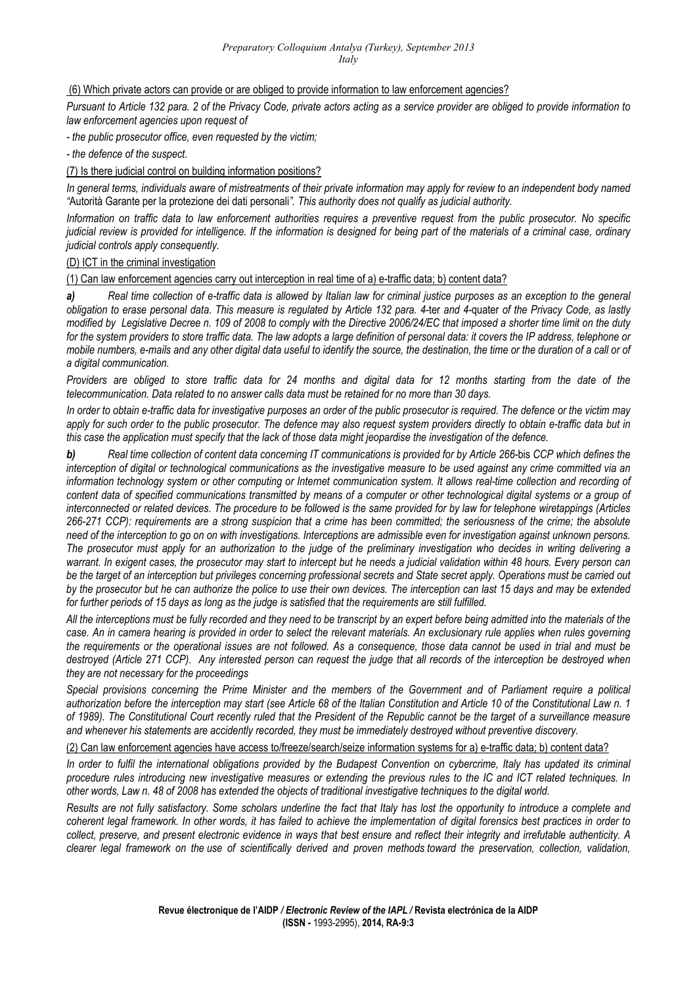*Preparatory Colloquium Antalya (Turkey), September 2013 Italy*

(6) Which private actors can provide or are obliged to provide information to law enforcement agencies?

*Pursuant to Article 132 para. 2 of the Privacy Code, private actors acting as a service provider are obliged to provide information to law enforcement agencies upon request of* 

*- the public prosecutor office, even requested by the victim;* 

*- the defence of the suspect.* 

(7) Is there judicial control on building information positions?

*In general terms, individuals aware of mistreatments of their private information may apply for review to an independent body named "*Autorità Garante per la protezione dei dati personali*". This authority does not qualify as judicial authority.* 

*Information on traffic data to law enforcement authorities requires a preventive request from the public prosecutor. No specific judicial review is provided for intelligence. If the information is designed for being part of the materials of a criminal case, ordinary judicial controls apply consequently.* 

(D) ICT in the criminal investigation

(1) Can law enforcement agencies carry out interception in real time of a) e-traffic data; b) content data?

*a) Real time collection of e-traffic data is allowed by Italian law for criminal justice purposes as an exception to the general obligation to erase personal data*. *This measure is regulated by Article 132 para. 4-*ter *and 4-*quater *of the Privacy Code, as lastly modified by Legislative Decree n. 109 of 2008 to comply with the Directive 2006/24/EC that imposed a shorter time limit on the duty for the system providers to store traffic data. The law adopts a large definition of personal data: it covers the IP address, telephone or mobile numbers, e-mails and any other digital data useful to identify the source, the destination, the time or the duration of a call or of a digital communication.*

*Providers are obliged to store traffic data for 24 months and digital data for 12 months starting from the date of the telecommunication. Data related to no answer calls data must be retained for no more than 30 days.*

*In order to obtain e-traffic data for investigative purposes an order of the public prosecutor is required. The defence or the victim may apply for such order to the public prosecutor. The defence may also request system providers directly to obtain e-traffic data but in this case the application must specify that the lack of those data might jeopardise the investigation of the defence.*

*b) Real time collection of content data concerning IT communications is provided for by Article 266-*bis *CCP which defines the interception of digital or technological communications as the investigative measure to be used against any crime committed via an*  information technology system or other computing or Internet communication system. It allows real-time collection and recording of *content data of specified communications transmitted by means of a computer or other technological digital systems or a group of interconnected or related devices. The procedure to be followed is the same provided for by law for telephone wiretappings (Articles 266-271 CCP): requirements are a strong suspicion that a crime has been committed; the seriousness of the crime; the absolute need of the interception to go on on with investigations. Interceptions are admissible even for investigation against unknown persons. The prosecutor must apply for an authorization to the judge of the preliminary investigation who decides in writing delivering a warrant. In exigent cases, the prosecutor may start to intercept but he needs a judicial validation within 48 hours. Every person can be the target of an interception but privileges concerning professional secrets and State secret apply. Operations must be carried out by the prosecutor but he can authorize the police to use their own devices. The interception can last 15 days and may be extended for further periods of 15 days as long as the judge is satisfied that the requirements are still fulfilled.* 

*All the interceptions must be fully recorded and they need to be transcript by an expert before being admitted into the materials of the case. An in camera hearing is provided in order to select the relevant materials. An exclusionary rule applies when rules governing the requirements or the operational issues are not followed. As a consequence, those data cannot be used in trial and must be destroyed (Article 271 CCP). Any interested person can request the judge that all records of the interception be destroyed when they are not necessary for the proceedings* 

*Special provisions concerning the Prime Minister and the members of the Government and of Parliament require a political authorization before the interception may start (see Article 68 of the Italian Constitution and Article 10 of the Constitutional Law n. 1 of 1989). The Constitutional Court recently ruled that the President of the Republic cannot be the target of a surveillance measure and whenever his statements are accidently recorded, they must be immediately destroyed without preventive discovery.*

(2) Can law enforcement agencies have access to/freeze/search/seize information systems for a) e-traffic data; b) content data?

*In order to fulfil the international obligations provided by the Budapest Convention on cybercrime, Italy has updated its criminal procedure rules introducing new investigative measures or extending the previous rules to the IC and ICT related techniques. In other words, Law n. 48 of 2008 has extended the objects of traditional investigative techniques to the digital world.* 

*Results are not fully satisfactory. Some scholars underline the fact that Italy has lost the opportunity to introduce a complete and coherent legal framework. In other words, it has failed to achieve the implementation of digital forensics best practices in order to collect, preserve, and present electronic evidence in ways that best ensure and reflect their integrity and irrefutable authenticity. A clearer legal framework on the use of scientifically derived and proven methods toward the preservation, collection, validation,*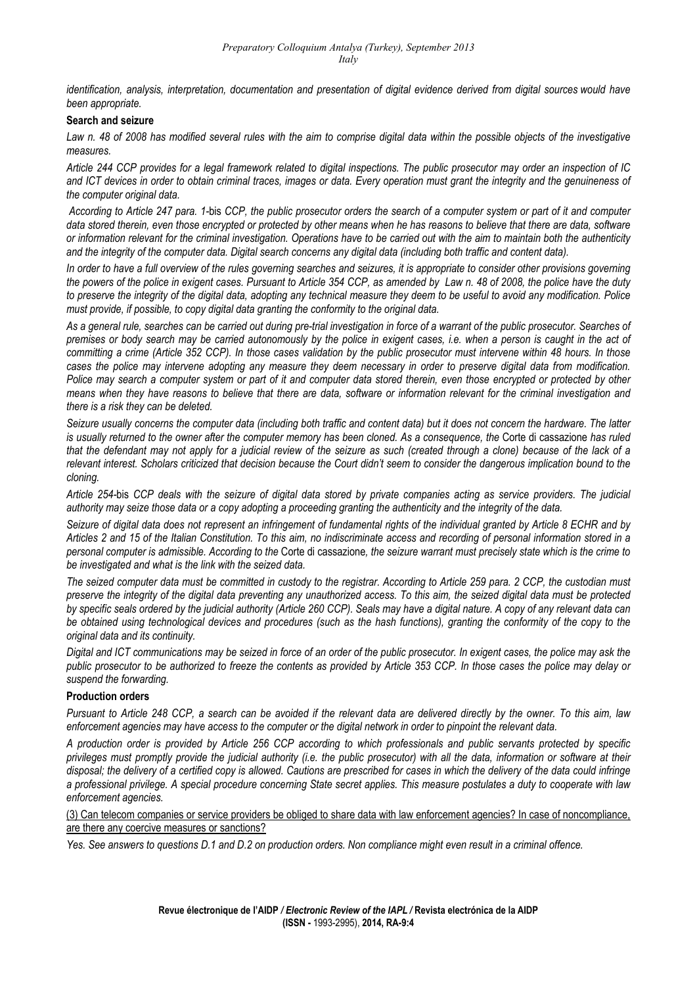*identification, analysis, interpretation, documentation and presentation of digital evidence derived from digital sources would have been appropriate.* 

#### **Search and seizure**

*Law n. 48 of 2008 has modified several rules with the aim to comprise digital data within the possible objects of the investigative measures.* 

*Article 244 CCP provides for a legal framework related to digital inspections. The public prosecutor may order an inspection of IC and ICT devices in order to obtain criminal traces, images or data. Every operation must grant the integrity and the genuineness of the computer original data.* 

 *According to Article 247 para. 1-*bis *CCP, the public prosecutor orders the search of a computer system or part of it and computer data stored therein, even those encrypted or protected by other means when he has reasons to believe that there are data, software or information relevant for the criminal investigation. Operations have to be carried out with the aim to maintain both the authenticity*  and the integrity of the computer data. Digital search concerns any digital data (including both traffic and content data).

*In order to have a full overview of the rules governing searches and seizures, it is appropriate to consider other provisions governing the powers of the police in exigent cases. Pursuant to Article 354 CCP, as amended by Law n. 48 of 2008, the police have the duty to preserve the integrity of the digital data, adopting any technical measure they deem to be useful to avoid any modification. Police must provide, if possible, to copy digital data granting the conformity to the original data.* 

*As a general rule, searches can be carried out during pre-trial investigation in force of a warrant of the public prosecutor. Searches of premises or body search may be carried autonomously by the police in exigent cases, i.e. when a person is caught in the act of committing a crime (Article 352 CCP). In those cases validation by the public prosecutor must intervene within 48 hours. In those cases the police may intervene adopting any measure they deem necessary in order to preserve digital data from modification. Police may search a computer system or part of it and computer data stored therein, even those encrypted or protected by other means when they have reasons to believe that there are data, software or information relevant for the criminal investigation and there is a risk they can be deleted.* 

*Seizure usually concerns the computer data (including both traffic and content data) but it does not concern the hardware. The latter is usually returned to the owner after the computer memory has been cloned. As a consequence, the* Corte di cassazione *has ruled that the defendant may not apply for a judicial review of the seizure as such (created through a clone) because of the lack of a relevant interest. Scholars criticized that decision because the Court didn't seem to consider the dangerous implication bound to the cloning.* 

*Article 254-*bis *CCP deals with the seizure of digital data stored by private companies acting as service providers. The judicial authority may seize those data or a copy adopting a proceeding granting the authenticity and the integrity of the data.* 

*Seizure of digital data does not represent an infringement of fundamental rights of the individual granted by Article 8 ECHR and by Articles 2 and 15 of the Italian Constitution. To this aim, no indiscriminate access and recording of personal information stored in a personal computer is admissible. According to the* Corte di cassazione*, the seizure warrant must precisely state which is the crime to be investigated and what is the link with the seized data.* 

*The seized computer data must be committed in custody to the registrar. According to Article 259 para. 2 CCP, the custodian must preserve the integrity of the digital data preventing any unauthorized access. To this aim, the seized digital data must be protected by specific seals ordered by the judicial authority (Article 260 CCP). Seals may have a digital nature. A copy of any relevant data can be obtained using technological devices and procedures (such as the hash functions), granting the conformity of the copy to the original data and its continuity.* 

*Digital and ICT communications may be seized in force of an order of the public prosecutor. In exigent cases, the police may ask the public prosecutor to be authorized to freeze the contents as provided by Article 353 CCP. In those cases the police may delay or suspend the forwarding.* 

#### **Production orders**

*Pursuant to Article 248 CCP, a search can be avoided if the relevant data are delivered directly by the owner. To this aim, law enforcement agencies may have access to the computer or the digital network in order to pinpoint the relevant data.* 

*A production order is provided by Article 256 CCP according to which professionals and public servants protected by specific privileges must promptly provide the judicial authority (i.e. the public prosecutor) with all the data, information or software at their disposal; the delivery of a certified copy is allowed. Cautions are prescribed for cases in which the delivery of the data could infringe a professional privilege. A special procedure concerning State secret applies. This measure postulates a duty to cooperate with law enforcement agencies.* 

(3) Can telecom companies or service providers be obliged to share data with law enforcement agencies? In case of noncompliance, are there any coercive measures or sanctions?

*Yes. See answers to questions D.1 and D.2 on production orders. Non compliance might even result in a criminal offence.*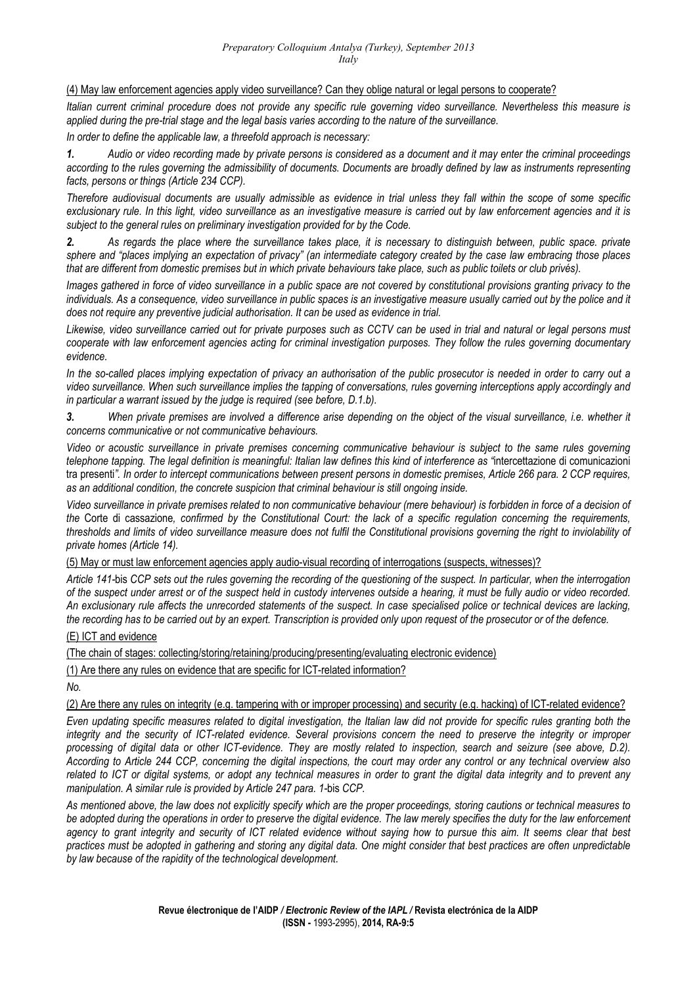(4) May law enforcement agencies apply video surveillance? Can they oblige natural or legal persons to cooperate?

*Italian current criminal procedure does not provide any specific rule governing video surveillance. Nevertheless this measure is applied during the pre-trial stage and the legal basis varies according to the nature of the surveillance.* 

*In order to define the applicable law, a threefold approach is necessary:* 

*1. Audio or video recording made by private persons is considered as a document and it may enter the criminal proceedings according to the rules governing the admissibility of documents. Documents are broadly defined by law as instruments representing facts, persons or things (Article 234 CCP).* 

*Therefore audiovisual documents are usually admissible as evidence in trial unless they fall within the scope of some specific exclusionary rule. In this light, video surveillance as an investigative measure is carried out by law enforcement agencies and it is subject to the general rules on preliminary investigation provided for by the Code.* 

*2. As regards the place where the surveillance takes place, it is necessary to distinguish between, public space. private sphere and "places implying an expectation of privacy" (an intermediate category created by the case law embracing those places that are different from domestic premises but in which private behaviours take place, such as public toilets or club privés).* 

*Images gathered in force of video surveillance in a public space are not covered by constitutional provisions granting privacy to the individuals. As a consequence, video surveillance in public spaces is an investigative measure usually carried out by the police and it does not require any preventive judicial authorisation. It can be used as evidence in trial.* 

*Likewise, video surveillance carried out for private purposes such as CCTV can be used in trial and natural or legal persons must cooperate with law enforcement agencies acting for criminal investigation purposes. They follow the rules governing documentary evidence.* 

*In the so-called places implying expectation of privacy an authorisation of the public prosecutor is needed in order to carry out a video surveillance. When such surveillance implies the tapping of conversations, rules governing interceptions apply accordingly and in particular a warrant issued by the judge is required (see before, D.1.b).* 

*3. When private premises are involved a difference arise depending on the object of the visual surveillance, i.e. whether it concerns communicative or not communicative behaviours.* 

*Video or acoustic surveillance in private premises concerning communicative behaviour is subject to the same rules governing telephone tapping. The legal definition is meaningful: Italian law defines this kind of interference as "*intercettazione di comunicazioni tra presenti*". In order to intercept communications between present persons in domestic premises, Article 266 para. 2 CCP requires, as an additional condition, the concrete suspicion that criminal behaviour is still ongoing inside.* 

*Video surveillance in private premises related to non communicative behaviour (mere behaviour) is forbidden in force of a decision of the* Corte di cassazione*, confirmed by the Constitutional Court: the lack of a specific regulation concerning the requirements, thresholds and limits of video surveillance measure does not fulfil the Constitutional provisions governing the right to inviolability of private homes (Article 14).* 

(5) May or must law enforcement agencies apply audio-visual recording of interrogations (suspects, witnesses)?

*Article 141-*bis *CCP sets out the rules governing the recording of the questioning of the suspect. In particular, when the interrogation of the suspect under arrest or of the suspect held in custody intervenes outside a hearing, it must be fully audio or video recorded. An exclusionary rule affects the unrecorded statements of the suspect. In case specialised police or technical devices are lacking, the recording has to be carried out by an expert. Transcription is provided only upon request of the prosecutor or of the defence.* 

(E) ICT and evidence

(The chain of stages: collecting/storing/retaining/producing/presenting/evaluating electronic evidence)

(1) Are there any rules on evidence that are specific for ICT-related information?

*No.* 

(2) Are there any rules on integrity (e.g. tampering with or improper processing) and security (e.g. hacking) of ICT-related evidence?

*Even updating specific measures related to digital investigation, the Italian law did not provide for specific rules granting both the integrity and the security of ICT-related evidence. Several provisions concern the need to preserve the integrity or improper processing of digital data or other ICT-evidence. They are mostly related to inspection, search and seizure (see above, D.2). According to Article 244 CCP, concerning the digital inspections, the court may order any control or any technical overview also related to ICT or digital systems, or adopt any technical measures in order to grant the digital data integrity and to prevent any manipulation. A similar rule is provided by Article 247 para. 1-*bis *CCP.* 

*As mentioned above, the law does not explicitly specify which are the proper proceedings, storing cautions or technical measures to be adopted during the operations in order to preserve the digital evidence. The law merely specifies the duty for the law enforcement*  agency to grant integrity and security of ICT related evidence without saying how to pursue this aim. It seems clear that best *practices must be adopted in gathering and storing any digital data. One might consider that best practices are often unpredictable by law because of the rapidity of the technological development.*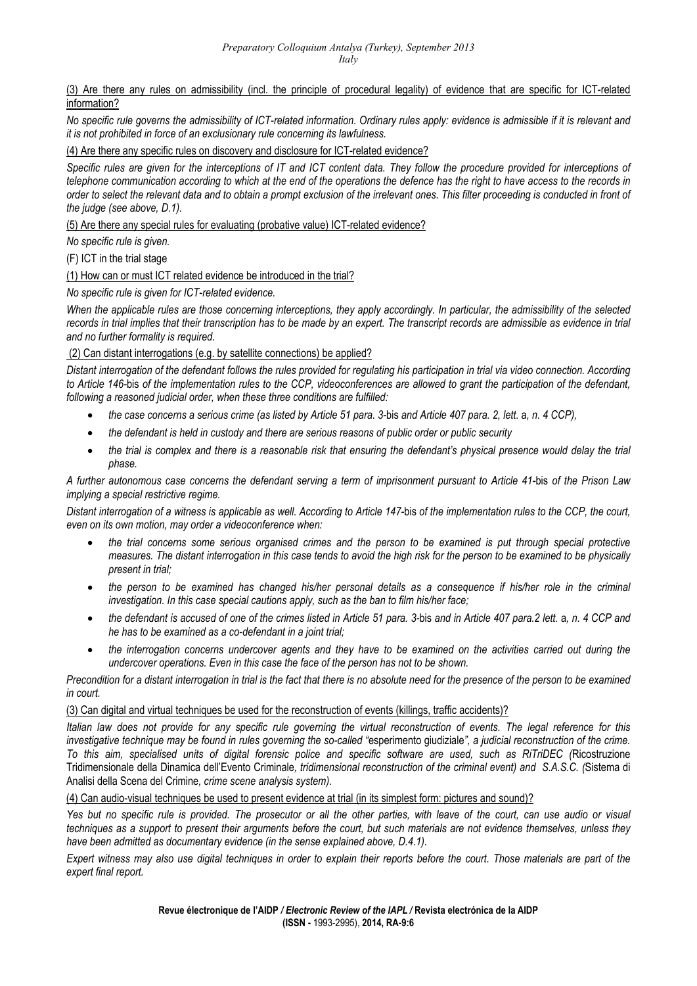(3) Are there any rules on admissibility (incl. the principle of procedural legality) of evidence that are specific for ICT-related information?

*No specific rule governs the admissibility of ICT-related information. Ordinary rules apply: evidence is admissible if it is relevant and it is not prohibited in force of an exclusionary rule concerning its lawfulness.*

(4) Are there any specific rules on discovery and disclosure for ICT-related evidence?

Specific rules are given for the interceptions of IT and ICT content data. They follow the procedure provided for interceptions of *telephone communication according to which at the end of the operations the defence has the right to have access to the records in order to select the relevant data and to obtain a prompt exclusion of the irrelevant ones. This filter proceeding is conducted in front of the judge (see above, D.1).*

(5) Are there any special rules for evaluating (probative value) ICT-related evidence?

*No specific rule is given.*

(F) ICT in the trial stage

(1) How can or must ICT related evidence be introduced in the trial?

*No specific rule is given for ICT-related evidence.* 

*When the applicable rules are those concerning interceptions, they apply accordingly. In particular, the admissibility of the selected records in trial implies that their transcription has to be made by an expert. The transcript records are admissible as evidence in trial and no further formality is required.*

(2) Can distant interrogations (e.g. by satellite connections) be applied?

*Distant interrogation of the defendant follows the rules provided for regulating his participation in trial via video connection. According to Article 146-*bis *of the implementation rules to the CCP, videoconferences are allowed to grant the participation of the defendant, following a reasoned judicial order, when these three conditions are fulfilled:*

- *the case concerns a serious crime (as listed by Article 51 para. 3-*bis *and Article 407 para. 2, lett.* a*, n. 4 CCP),*
- *the defendant is held in custody and there are serious reasons of public order or public security*
- *the trial is complex and there is a reasonable risk that ensuring the defendant's physical presence would delay the trial phase.*

*A further autonomous case concerns the defendant serving a term of imprisonment pursuant to Article 41-*bis *of the Prison Law implying a special restrictive regime.* 

*Distant interrogation of a witness is applicable as well. According to Article 147-*bis *of the implementation rules to the CCP, the court, even on its own motion, may order a videoconference when:*

- *the trial concerns some serious organised crimes and the person to be examined is put through special protective measures. The distant interrogation in this case tends to avoid the high risk for the person to be examined to be physically present in trial;*
- *the person to be examined has changed his/her personal details as a consequence if his/her role in the criminal investigation. In this case special cautions apply, such as the ban to film his/her face;*
- *the defendant is accused of one of the crimes listed in Article 51 para. 3-*bis *and in Article 407 para.2 lett.* a*, n. 4 CCP and he has to be examined as a co-defendant in a joint trial;*
- *the interrogation concerns undercover agents and they have to be examined on the activities carried out during the undercover operations. Even in this case the face of the person has not to be shown.*

*Precondition for a distant interrogation in trial is the fact that there is no absolute need for the presence of the person to be examined in court.* 

## (3) Can digital and virtual techniques be used for the reconstruction of events (killings, traffic accidents)?

*Italian law does not provide for any specific rule governing the virtual reconstruction of events. The legal reference for this investigative technique may be found in rules governing the so-called "*esperimento giudiziale*", a judicial reconstruction of the crime. To this aim, specialised units of digital forensic police and specific software are used, such as RiTriDEC (*Ricostruzione Tridimensionale della Dinamica dell'Evento Criminale*, tridimensional reconstruction of the criminal event) and S.A.S.C. (*Sistema di Analisi della Scena del Crimine*, crime scene analysis system).*

(4) Can audio-visual techniques be used to present evidence at trial (in its simplest form: pictures and sound)?

*Yes but no specific rule is provided. The prosecutor or all the other parties, with leave of the court, can use audio or visual techniques as a support to present their arguments before the court, but such materials are not evidence themselves, unless they have been admitted as documentary evidence (in the sense explained above, D.4.1).* 

*Expert witness may also use digital techniques in order to explain their reports before the court. Those materials are part of the expert final report.*